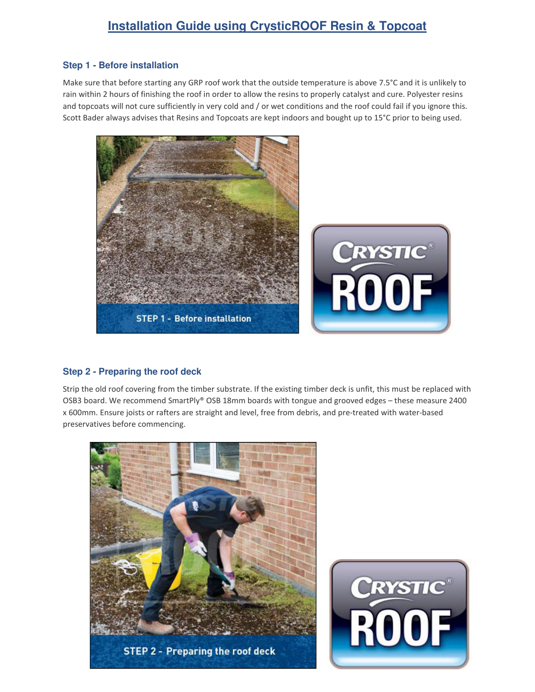# **Installation Guide using CrysticROOF Resin & Topcoat**

## **Step 1 - Before installation**

Make sure that before starting any GRP roof work that the outside temperature is above 7.5°C and it is unlikely to rain within 2 hours of finishing the roof in order to allow the resins to properly catalyst and cure. Polyester resins and topcoats will not cure sufficiently in very cold and / or wet conditions and the roof could fail if you ignore this. Scott Bader always advises that Resins and Topcoats are kept indoors and bought up to 15°C prior to being used.



### **Step 2 - Preparing the roof deck**

Strip the old roof covering from the timber substrate. If the existing timber deck is unfit, this must be replaced with OSB3 board. We recommend SmartPly® OSB 18mm boards with tongue and grooved edges – these measure 2400 x 600mm. Ensure joists or rafters are straight and level, free from debris, and pre-treated with water-based preservatives before commencing.



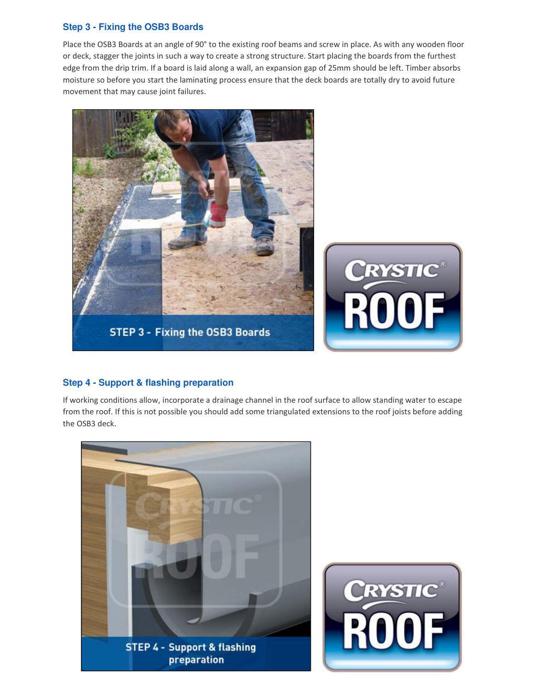## **Step 3 - Fixing the OSB3 Boards**

Place the OSB3 Boards at an angle of 90° to the existing roof beams and screw in place. As with any wooden floor or deck, stagger the joints in such a way to create a strong structure. Start placing the boards from the furthest edge from the drip trim. If a board is laid along a wall, an expansion gap of 25mm should be left. Timber absorbs moisture so before you start the laminating process ensure that the deck boards are totally dry to avoid future movement that may cause joint failures.



# **Step 4 - Support & flashing preparation**

If working conditions allow, incorporate a drainage channel in the roof surface to allow standing water to escape from the roof. If this is not possible you should add some triangulated extensions to the roof joists before adding the OSB3 deck.

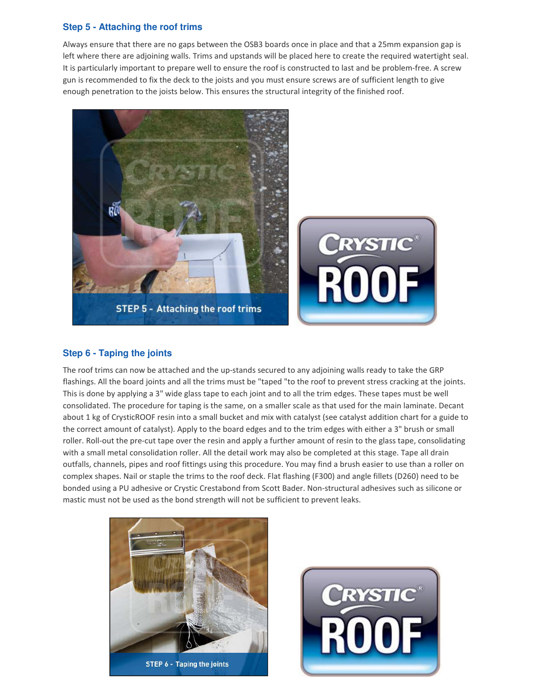### **Step 5 - Attaching the roof trims**

Always ensure that there are no gaps between the OSB3 boards once in place and that a 25mm expansion gap is left where there are adjoining walls. Trims and upstands will be placed here to create the required watertight seal. It is particularly important to prepare well to ensure the roof is constructed to last and be problem-free. A screw gun is recommended to fix the deck to the joists and you must ensure screws are of sufficient length to give enough penetration to the joists below. This ensures the structural integrity of the finished roof.



### **Step 6 - Taping the joints**

The roof trims can now be attached and the up-stands secured to any adjoining walls ready to take the GRP flashings. All the board joints and all the trims must be "taped "to the roof to prevent stress cracking at the joints. This is done by applying a 3" wide glass tape to each joint and to all the trim edges. These tapes must be well consolidated. The procedure for taping is the same, on a smaller scale as that used for the main laminate. Decant about 1 kg of CrysticROOF resin into a small bucket and mix with catalyst (see catalyst addition chart for a guide to the correct amount of catalyst). Apply to the board edges and to the trim edges with either a 3" brush or small roller. Roll-out the pre-cut tape over the resin and apply a further amount of resin to the glass tape, consolidating with a small metal consolidation roller. All the detail work may also be completed at this stage. Tape all drain outfalls, channels, pipes and roof fittings using this procedure. You may find a brush easier to use than a roller on complex shapes. Nail or staple the trims to the roof deck. Flat flashing (F300) and angle fillets (D260) need to be bonded using a PU adhesive or Crystic Crestabond from Scott Bader. Non-structural adhesives such as silicone or mastic must not be used as the bond strength will not be sufficient to prevent leaks.



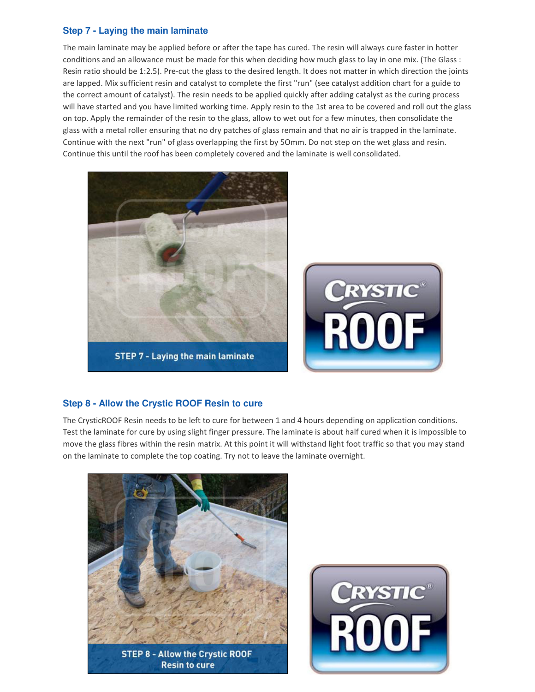## **Step 7 - Laying the main laminate**

The main laminate may be applied before or after the tape has cured. The resin will always cure faster in hotter conditions and an allowance must be made for this when deciding how much glass to lay in one mix. (The Glass : Resin ratio should be 1:2.5). Pre-cut the glass to the desired length. It does not matter in which direction the joints are lapped. Mix sufficient resin and catalyst to complete the first "run" (see catalyst addition chart for a guide to the correct amount of catalyst). The resin needs to be applied quickly after adding catalyst as the curing process will have started and you have limited working time. Apply resin to the 1st area to be covered and roll out the glass on top. Apply the remainder of the resin to the glass, allow to wet out for a few minutes, then consolidate the glass with a metal roller ensuring that no dry patches of glass remain and that no air is trapped in the laminate. Continue with the next "run" of glass overlapping the first by 5Omm. Do not step on the wet glass and resin. Continue this until the roof has been completely covered and the laminate is well consolidated.



# **Step 8 - Allow the Crystic ROOF Resin to cure**

The CrysticROOF Resin needs to be left to cure for between 1 and 4 hours depending on application conditions. Test the laminate for cure by using slight finger pressure. The laminate is about half cured when it is impossible to move the glass fibres within the resin matrix. At this point it will withstand light foot traffic so that you may stand on the laminate to complete the top coating. Try not to leave the laminate overnight.



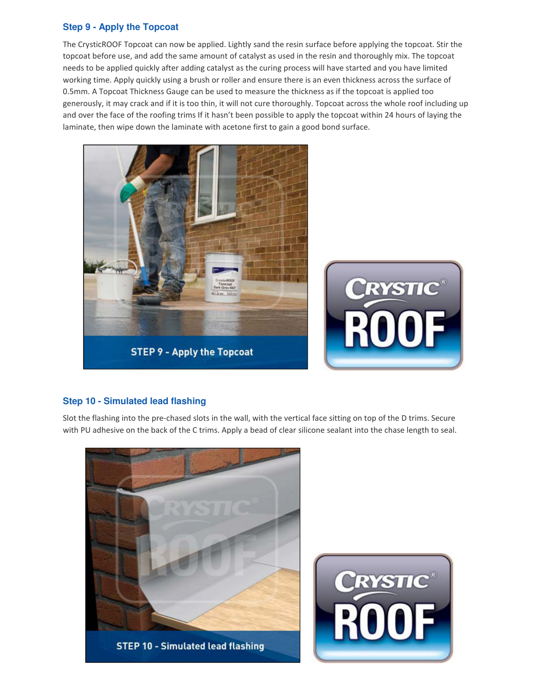# **Step 9 - Apply the Topcoat**

The CrysticROOF Topcoat can now be applied. Lightly sand the resin surface before applying the topcoat. Stir the topcoat before use, and add the same amount of catalyst as used in the resin and thoroughly mix. The topcoat needs to be applied quickly after adding catalyst as the curing process will have started and you have limited working time. Apply quickly using a brush or roller and ensure there is an even thickness across the surface of 0.5mm. A Topcoat Thickness Gauge can be used to measure the thickness as if the topcoat is applied too generously, it may crack and if it is too thin, it will not cure thoroughly. Topcoat across the whole roof including up and over the face of the roofing trims If it hasn't been possible to apply the topcoat within 24 hours of laying the laminate, then wipe down the laminate with acetone first to gain a good bond surface.



# **Step 10 - Simulated lead flashing**

Slot the flashing into the pre-chased slots in the wall, with the vertical face sitting on top of the D trims. Secure with PU adhesive on the back of the C trims. Apply a bead of clear silicone sealant into the chase length to seal.